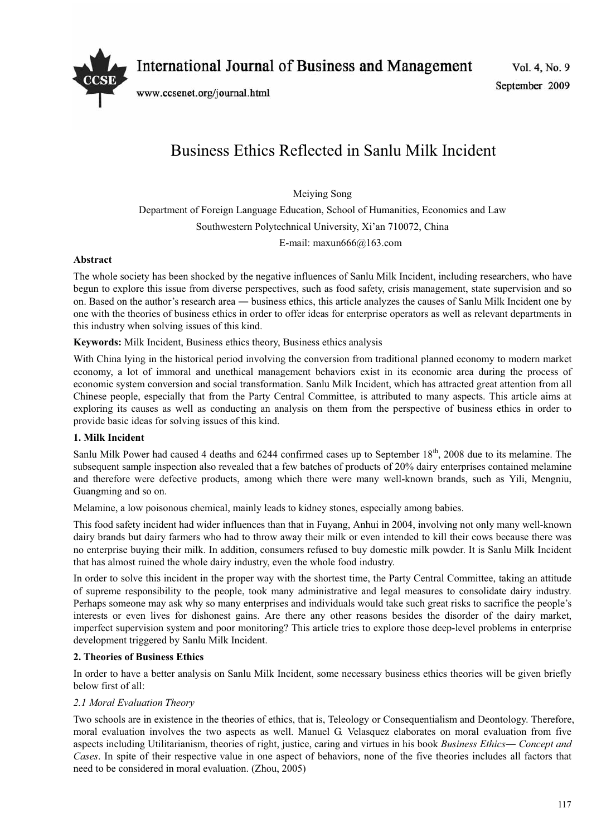

**International Journal of Business and Management** 

www.ccsenet.org/journal.html

# Business Ethics Reflected in Sanlu Milk Incident

Meiying Song

Department of Foreign Language Education, School of Humanities, Economics and Law Southwestern Polytechnical University, Xi'an 710072, China E-mail: maxun $666@163$ .com

# **Abstract**

The whole society has been shocked by the negative influences of Sanlu Milk Incident, including researchers, who have begun to explore this issue from diverse perspectives, such as food safety, crisis management, state supervision and so on. Based on the author's research area - business ethics, this article analyzes the causes of Sanlu Milk Incident one by one with the theories of business ethics in order to offer ideas for enterprise operators as well as relevant departments in this industry when solving issues of this kind.

**Keywords:** Milk Incident, Business ethics theory, Business ethics analysis

With China lying in the historical period involving the conversion from traditional planned economy to modern market economy, a lot of immoral and unethical management behaviors exist in its economic area during the process of economic system conversion and social transformation. Sanlu Milk Incident, which has attracted great attention from all Chinese people, especially that from the Party Central Committee, is attributed to many aspects. This article aims at exploring its causes as well as conducting an analysis on them from the perspective of business ethics in order to provide basic ideas for solving issues of this kind.

## **1. Milk Incident**

Sanlu Milk Power had caused 4 deaths and  $6244$  confirmed cases up to September  $18<sup>th</sup>$ , 2008 due to its melamine. The subsequent sample inspection also revealed that a few batches of products of 20% dairy enterprises contained melamine and therefore were defective products, among which there were many well-known brands, such as Yili, Mengniu, Guangming and so on.

Melamine, a low poisonous chemical, mainly leads to kidney stones, especially among babies.

This food safety incident had wider influences than that in Fuyang, Anhui in 2004, involving not only many well-known dairy brands but dairy farmers who had to throw away their milk or even intended to kill their cows because there was no enterprise buying their milk. In addition, consumers refused to buy domestic milk powder. It is Sanlu Milk Incident that has almost ruined the whole dairy industry, even the whole food industry.

In order to solve this incident in the proper way with the shortest time, the Party Central Committee, taking an attitude of supreme responsibility to the people, took many administrative and legal measures to consolidate dairy industry. Perhaps someone may ask why so many enterprises and individuals would take such great risks to sacrifice the people's interests or even lives for dishonest gains. Are there any other reasons besides the disorder of the dairy market, imperfect supervision system and poor monitoring? This article tries to explore those deep-level problems in enterprise development triggered by Sanlu Milk Incident.

## **2. Theories of Business Ethics**

In order to have a better analysis on Sanlu Milk Incident, some necessary business ethics theories will be given briefly below first of all:

## *2.1 Moral Evaluation Theory*

Two schools are in existence in the theories of ethics, that is, Teleology or Consequentialism and Deontology. Therefore, moral evaluation involves the two aspects as well. Manuel G. Velasquez elaborates on moral evaluation from five aspects including Utilitarianism, theories of right, justice, caring and virtues in his book *Business Ethics*— Concept and *Cases*. In spite of their respective value in one aspect of behaviors, none of the five theories includes all factors that need to be considered in moral evaluation. (Zhou, 2005)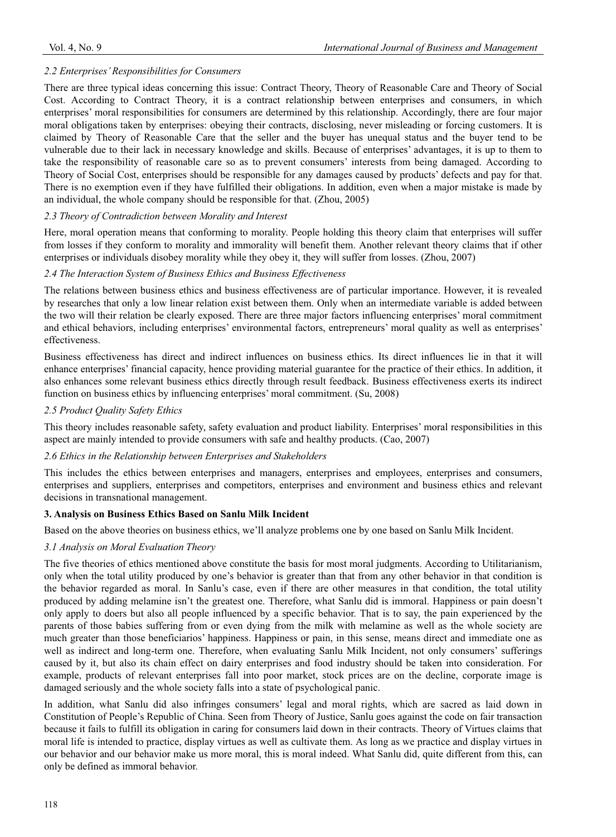# *2.2 Enterprises' Responsibilities for Consumers*

There are three typical ideas concerning this issue: Contract Theory, Theory of Reasonable Care and Theory of Social Cost. According to Contract Theory, it is a contract relationship between enterprises and consumers, in which enterprises' moral responsibilities for consumers are determined by this relationship. Accordingly, there are four major moral obligations taken by enterprises: obeying their contracts, disclosing, never misleading or forcing customers. It is claimed by Theory of Reasonable Care that the seller and the buyer has unequal status and the buyer tend to be vulnerable due to their lack in necessary knowledge and skills. Because of enterprises' advantages, it is up to them to take the responsibility of reasonable care so as to prevent consumers' interests from being damaged. According to Theory of Social Cost, enterprises should be responsible for any damages caused by products' defects and pay for that. There is no exemption even if they have fulfilled their obligations. In addition, even when a major mistake is made by an individual, the whole company should be responsible for that. (Zhou, 2005)

# *2.3 Theory of Contradiction between Morality and Interest*

Here, moral operation means that conforming to morality. People holding this theory claim that enterprises will suffer from losses if they conform to morality and immorality will benefit them. Another relevant theory claims that if other enterprises or individuals disobey morality while they obey it, they will suffer from losses. (Zhou, 2007)

## *2.4 The Interaction System of Business Ethics and Business Effectiveness*

The relations between business ethics and business effectiveness are of particular importance. However, it is revealed by researches that only a low linear relation exist between them. Only when an intermediate variable is added between the two will their relation be clearly exposed. There are three major factors influencing enterprises' moral commitment and ethical behaviors, including enterprises' environmental factors, entrepreneurs' moral quality as well as enterprises' effectiveness.

Business effectiveness has direct and indirect influences on business ethics. Its direct influences lie in that it will enhance enterprises' financial capacity, hence providing material guarantee for the practice of their ethics. In addition, it also enhances some relevant business ethics directly through result feedback. Business effectiveness exerts its indirect function on business ethics by influencing enterprises' moral commitment. (Su, 2008)

# *2.5 Product Quality Safety Ethics*

This theory includes reasonable safety, safety evaluation and product liability. Enterprises' moral responsibilities in this aspect are mainly intended to provide consumers with safe and healthy products. (Cao, 2007)

## *2.6 Ethics in the Relationship between Enterprises and Stakeholders*

This includes the ethics between enterprises and managers, enterprises and employees, enterprises and consumers, enterprises and suppliers, enterprises and competitors, enterprises and environment and business ethics and relevant decisions in transnational management.

# **3. Analysis on Business Ethics Based on Sanlu Milk Incident**

Based on the above theories on business ethics, we'll analyze problems one by one based on Sanlu Milk Incident.

## *3.1 Analysis on Moral Evaluation Theory*

The five theories of ethics mentioned above constitute the basis for most moral judgments. According to Utilitarianism, only when the total utility produced by one's behavior is greater than that from any other behavior in that condition is the behavior regarded as moral. In Sanlu's case, even if there are other measures in that condition, the total utility produced by adding melamine isn't the greatest one. Therefore, what Sanlu did is immoral. Happiness or pain doesn't only apply to doers but also all people influenced by a specific behavior. That is to say, the pain experienced by the parents of those babies suffering from or even dying from the milk with melamine as well as the whole society are much greater than those beneficiarios' happiness. Happiness or pain, in this sense, means direct and immediate one as well as indirect and long-term one. Therefore, when evaluating Sanlu Milk Incident, not only consumers' sufferings caused by it, but also its chain effect on dairy enterprises and food industry should be taken into consideration. For example, products of relevant enterprises fall into poor market, stock prices are on the decline, corporate image is damaged seriously and the whole society falls into a state of psychological panic.

In addition, what Sanlu did also infringes consumers' legal and moral rights, which are sacred as laid down in Constitution of People's Republic of China. Seen from Theory of Justice, Sanlu goes against the code on fair transaction because it fails to fulfill its obligation in caring for consumers laid down in their contracts. Theory of Virtues claims that moral life is intended to practice, display virtues as well as cultivate them. As long as we practice and display virtues in our behavior and our behavior make us more moral, this is moral indeed. What Sanlu did, quite different from this, can only be defined as immoral behavior.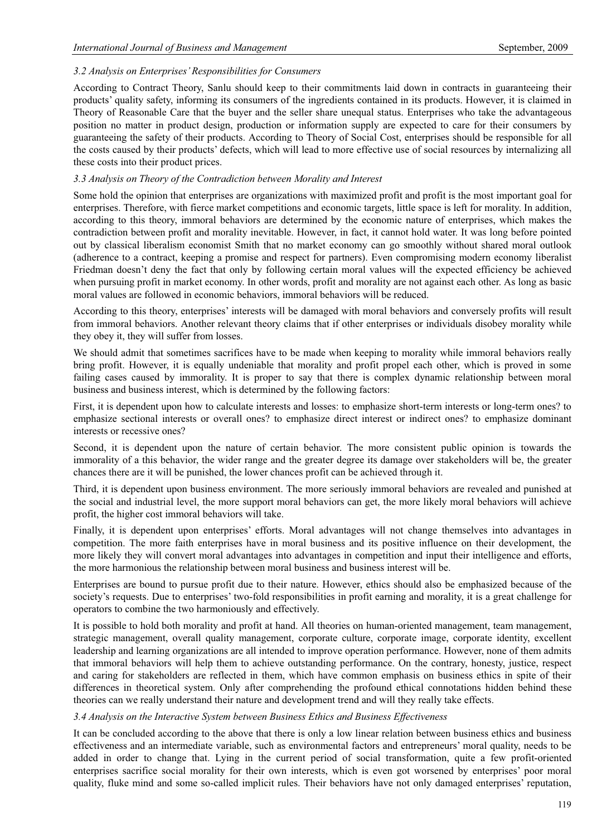#### *3.2 Analysis on Enterprises' Responsibilities for Consumers*

According to Contract Theory, Sanlu should keep to their commitments laid down in contracts in guaranteeing their products' quality safety, informing its consumers of the ingredients contained in its products. However, it is claimed in Theory of Reasonable Care that the buyer and the seller share unequal status. Enterprises who take the advantageous position no matter in product design, production or information supply are expected to care for their consumers by guaranteeing the safety of their products. According to Theory of Social Cost, enterprises should be responsible for all the costs caused by their products' defects, which will lead to more effective use of social resources by internalizing all these costs into their product prices.

#### *3.3 Analysis on Theory of the Contradiction between Morality and Interest*

Some hold the opinion that enterprises are organizations with maximized profit and profit is the most important goal for enterprises. Therefore, with fierce market competitions and economic targets, little space is left for morality. In addition, according to this theory, immoral behaviors are determined by the economic nature of enterprises, which makes the contradiction between profit and morality inevitable. However, in fact, it cannot hold water. It was long before pointed out by classical liberalism economist Smith that no market economy can go smoothly without shared moral outlook (adherence to a contract, keeping a promise and respect for partners). Even compromising modern economy liberalist Friedman doesn't deny the fact that only by following certain moral values will the expected efficiency be achieved when pursuing profit in market economy. In other words, profit and morality are not against each other. As long as basic moral values are followed in economic behaviors, immoral behaviors will be reduced.

According to this theory, enterprises' interests will be damaged with moral behaviors and conversely profits will result from immoral behaviors. Another relevant theory claims that if other enterprises or individuals disobey morality while they obey it, they will suffer from losses.

We should admit that sometimes sacrifices have to be made when keeping to morality while immoral behaviors really bring profit. However, it is equally undeniable that morality and profit propel each other, which is proved in some failing cases caused by immorality. It is proper to say that there is complex dynamic relationship between moral business and business interest, which is determined by the following factors:

First, it is dependent upon how to calculate interests and losses: to emphasize short-term interests or long-term ones? to emphasize sectional interests or overall ones? to emphasize direct interest or indirect ones? to emphasize dominant interests or recessive ones?

Second, it is dependent upon the nature of certain behavior. The more consistent public opinion is towards the immorality of a this behavior, the wider range and the greater degree its damage over stakeholders will be, the greater chances there are it will be punished, the lower chances profit can be achieved through it.

Third, it is dependent upon business environment. The more seriously immoral behaviors are revealed and punished at the social and industrial level, the more support moral behaviors can get, the more likely moral behaviors will achieve profit, the higher cost immoral behaviors will take.

Finally, it is dependent upon enterprises' efforts. Moral advantages will not change themselves into advantages in competition. The more faith enterprises have in moral business and its positive influence on their development, the more likely they will convert moral advantages into advantages in competition and input their intelligence and efforts, the more harmonious the relationship between moral business and business interest will be.

Enterprises are bound to pursue profit due to their nature. However, ethics should also be emphasized because of the society's requests. Due to enterprises' two-fold responsibilities in profit earning and morality, it is a great challenge for operators to combine the two harmoniously and effectively.

It is possible to hold both morality and profit at hand. All theories on human-oriented management, team management, strategic management, overall quality management, corporate culture, corporate image, corporate identity, excellent leadership and learning organizations are all intended to improve operation performance. However, none of them admits that immoral behaviors will help them to achieve outstanding performance. On the contrary, honesty, justice, respect and caring for stakeholders are reflected in them, which have common emphasis on business ethics in spite of their differences in theoretical system. Only after comprehending the profound ethical connotations hidden behind these theories can we really understand their nature and development trend and will they really take effects.

#### *3.4 Analysis on the Interactive System between Business Ethics and Business Effectiveness*

It can be concluded according to the above that there is only a low linear relation between business ethics and business effectiveness and an intermediate variable, such as environmental factors and entrepreneurs' moral quality, needs to be added in order to change that. Lying in the current period of social transformation, quite a few profit-oriented enterprises sacrifice social morality for their own interests, which is even got worsened by enterprises' poor moral quality, fluke mind and some so-called implicit rules. Their behaviors have not only damaged enterprises' reputation,